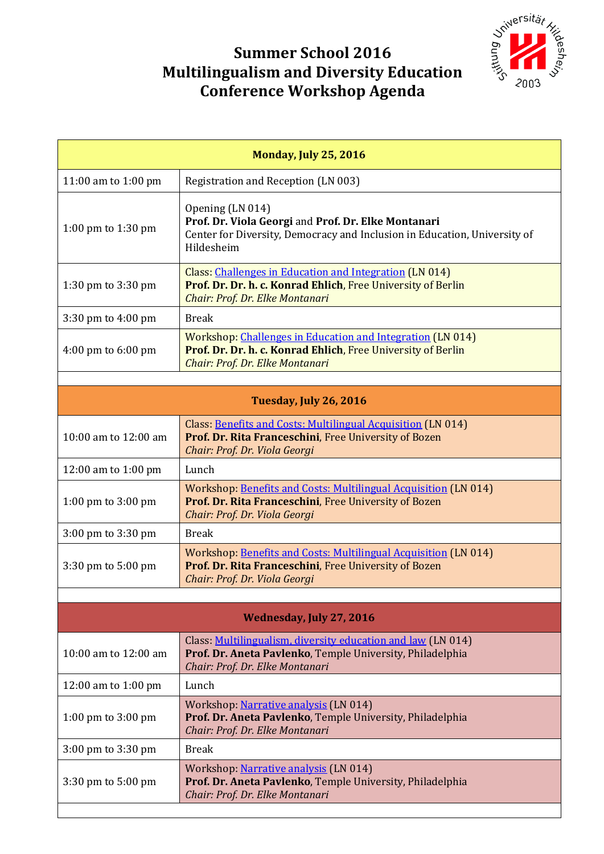## Joillersität ر<br>SSI

## **Summer School 2016 Multilingualism and Diversity Education Conference Workshop Agenda**

| <b>Monday, July 25, 2016</b>           |                                                                                                                                                                      |  |
|----------------------------------------|----------------------------------------------------------------------------------------------------------------------------------------------------------------------|--|
| 11:00 am to 1:00 pm                    | Registration and Reception (LN 003)                                                                                                                                  |  |
| 1:00 pm to 1:30 pm                     | Opening (LN 014)<br>Prof. Dr. Viola Georgi and Prof. Dr. Elke Montanari<br>Center for Diversity, Democracy and Inclusion in Education, University of<br>Hildesheim   |  |
| 1:30 pm to $3:30$ pm                   | Class: Challenges in Education and Integration (LN 014)<br>Prof. Dr. Dr. h. c. Konrad Ehlich, Free University of Berlin<br>Chair: Prof. Dr. Elke Montanari           |  |
| $3:30 \text{ pm}$ to $4:00 \text{ pm}$ | <b>Break</b>                                                                                                                                                         |  |
| 4:00 pm to 6:00 pm                     | <b>Workshop: Challenges in Education and Integration (LN 014)</b><br>Prof. Dr. Dr. h. c. Konrad Ehlich, Free University of Berlin<br>Chair: Prof. Dr. Elke Montanari |  |
|                                        |                                                                                                                                                                      |  |
| Tuesday, July 26, 2016                 |                                                                                                                                                                      |  |
| 10:00 am to $12:00$ am                 | Class: Benefits and Costs: Multilingual Acquisition (LN 014)<br>Prof. Dr. Rita Franceschini, Free University of Bozen<br>Chair: Prof. Dr. Viola Georgi               |  |
| 12:00 am to 1:00 pm                    | Lunch                                                                                                                                                                |  |
| 1:00 pm to $3:00$ pm                   | Workshop: Benefits and Costs: Multilingual Acquisition (LN 014)<br>Prof. Dr. Rita Franceschini, Free University of Bozen<br>Chair: Prof. Dr. Viola Georgi            |  |
| 3:00 pm to 3:30 pm                     | <b>Break</b>                                                                                                                                                         |  |
| $3:30 \text{ pm}$ to $5:00 \text{ pm}$ | Workshop: Benefits and Costs: Multilingual Acquisition (LN 014)<br>Prof. Dr. Rita Franceschini, Free University of Bozen<br>Chair: Prof. Dr. Viola Georgi            |  |
|                                        |                                                                                                                                                                      |  |
| <b>Wednesday, July 27, 2016</b>        |                                                                                                                                                                      |  |
| 10:00 am to 12:00 am                   | Class: Multilingualism, diversity education and law (LN 014)<br>Prof. Dr. Aneta Pavlenko, Temple University, Philadelphia<br>Chair: Prof. Dr. Elke Montanari         |  |
| 12:00 am to 1:00 pm                    | Lunch                                                                                                                                                                |  |
| 1:00 pm to $3:00$ pm                   | Workshop: Narrative analysis (LN 014)<br>Prof. Dr. Aneta Pavlenko, Temple University, Philadelphia<br>Chair: Prof. Dr. Elke Montanari                                |  |
| 3:00 pm to 3:30 pm                     | <b>Break</b>                                                                                                                                                         |  |
| $3:30 \text{ pm}$ to $5:00 \text{ pm}$ | Workshop: Narrative analysis (LN 014)<br>Prof. Dr. Aneta Pavlenko, Temple University, Philadelphia<br>Chair: Prof. Dr. Elke Montanari                                |  |